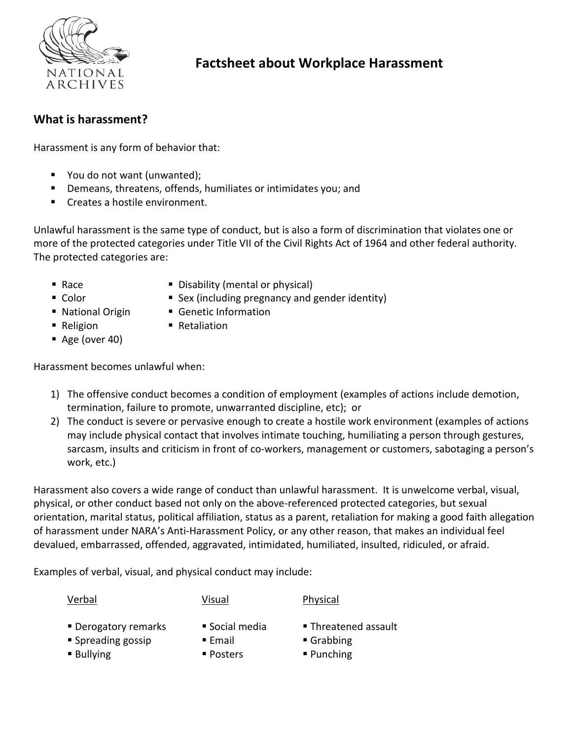

# **Factsheet about Workplace Harassment**

### **What is harassment?**

Harassment is any form of behavior that:

- You do not want (unwanted);
- Demeans, threatens, offends, humiliates or intimidates you; and
- Creates a hostile environment.

Unlawful harassment is the same type of conduct, but is also a form of discrimination that violates one or more of the protected categories under Title VII of the Civil Rights Act of 1964 and other federal authority. The protected categories are:

- 
- Race Disability (mental or physical)
- 
- Color Sex (including pregnancy and gender identity)
- National Origin Genetic Information
- Religion Retaliation
- Age (over 40)

Harassment becomes unlawful when:

- 1) The offensive conduct becomes a condition of employment (examples of actions include demotion, termination, failure to promote, unwarranted discipline, etc); or
- 2) The conduct is severe or pervasive enough to create a hostile work environment (examples of actions may include physical contact that involves intimate touching, humiliating a person through gestures, sarcasm, insults and criticism in front of co-workers, management or customers, sabotaging a person's work, etc.)

Harassment also covers a wide range of conduct than unlawful harassment. It is unwelcome verbal, visual, physical, or other conduct based not only on the above-referenced protected categories, but sexual orientation, marital status, political affiliation, status as a parent, retaliation for making a good faith allegation of harassment under NARA's Anti-Harassment Policy, or any other reason, that makes an individual feel devalued, embarrassed, offended, aggravated, intimidated, humiliated, insulted, ridiculed, or afraid.

Examples of verbal, visual, and physical conduct may include:

Verbal Visual Physical

- Derogatory remarks Social media Threatened assault
	-
- 
- Spreading gossip Email Email Grabbing
	-
- 
- Bullying Posters Punching